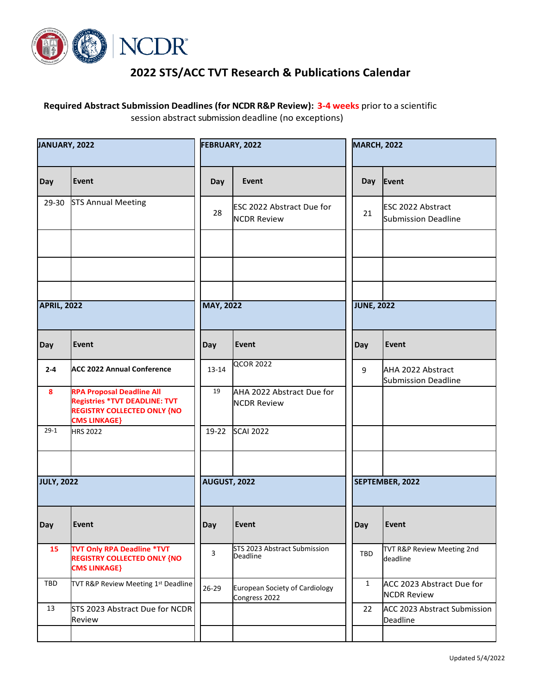

## **2022 STS/ACC TVT Research & Publications Calendar**

 **Required Abstract Submission Deadlines (for NCDR R&P Review): 3-4 weeks** prior to a scientific session abstract submission deadline (no exceptions)

| JANUARY, 2022      |                                                                                                                                       | FEBRUARY, 2022      |                                                        | <b>MARCH, 2022</b> |                                                        |
|--------------------|---------------------------------------------------------------------------------------------------------------------------------------|---------------------|--------------------------------------------------------|--------------------|--------------------------------------------------------|
| Day                | Event                                                                                                                                 | Day                 | Event                                                  | <b>Day</b>         | Event                                                  |
| 29-30              | <b>STS Annual Meeting</b>                                                                                                             | 28                  | <b>ESC 2022 Abstract Due for</b><br><b>NCDR Review</b> | 21                 | <b>ESC 2022 Abstract</b><br><b>Submission Deadline</b> |
|                    |                                                                                                                                       |                     |                                                        |                    |                                                        |
|                    |                                                                                                                                       |                     |                                                        |                    |                                                        |
| <b>APRIL, 2022</b> |                                                                                                                                       | <b>MAY, 2022</b>    |                                                        | <b>JUNE, 2022</b>  |                                                        |
| Day                | Event                                                                                                                                 | Day                 | Event                                                  | Day                | Event                                                  |
| $2 - 4$            | <b>ACC 2022 Annual Conference</b>                                                                                                     | $13 - 14$           | <b>QCOR 2022</b>                                       | 9                  | AHA 2022 Abstract<br><b>Submission Deadline</b>        |
| 8                  | <b>RPA Proposal Deadline All</b><br><b>Registries *TVT DEADLINE: TVT</b><br><b>REGISTRY COLLECTED ONLY {NO</b><br><b>CMS LINKAGE}</b> | 19                  | AHA 2022 Abstract Due for<br><b>NCDR Review</b>        |                    |                                                        |
| $29-1$             | <b>HRS 2022</b>                                                                                                                       | 19-22               | <b>SCAI 2022</b>                                       |                    |                                                        |
|                    |                                                                                                                                       |                     |                                                        |                    |                                                        |
| <b>JULY, 2022</b>  |                                                                                                                                       | <b>AUGUST, 2022</b> |                                                        |                    | SEPTEMBER, 2022                                        |
| Day                | Event                                                                                                                                 | Day                 | Event                                                  | Day                | Event                                                  |
| 15                 | <b>TVT Only RPA Deadline *TVT</b><br><b>REGISTRY COLLECTED ONLY {NO</b><br><b>CMS LINKAGE}</b>                                        | 3                   | STS 2023 Abstract Submission<br>Deadline               | TBD                | TVT R&P Review Meeting 2nd<br>deadline                 |
| TBD                | TVT R&P Review Meeting 1st Deadline                                                                                                   | 26-29               | <b>European Society of Cardiology</b><br>Congress 2022 | $\mathbf{1}$       | ACC 2023 Abstract Due for<br><b>NCDR Review</b>        |
| 13                 | STS 2023 Abstract Due for NCDR<br>Review                                                                                              |                     |                                                        | 22                 | ACC 2023 Abstract Submission<br>Deadline               |
|                    |                                                                                                                                       |                     |                                                        |                    |                                                        |